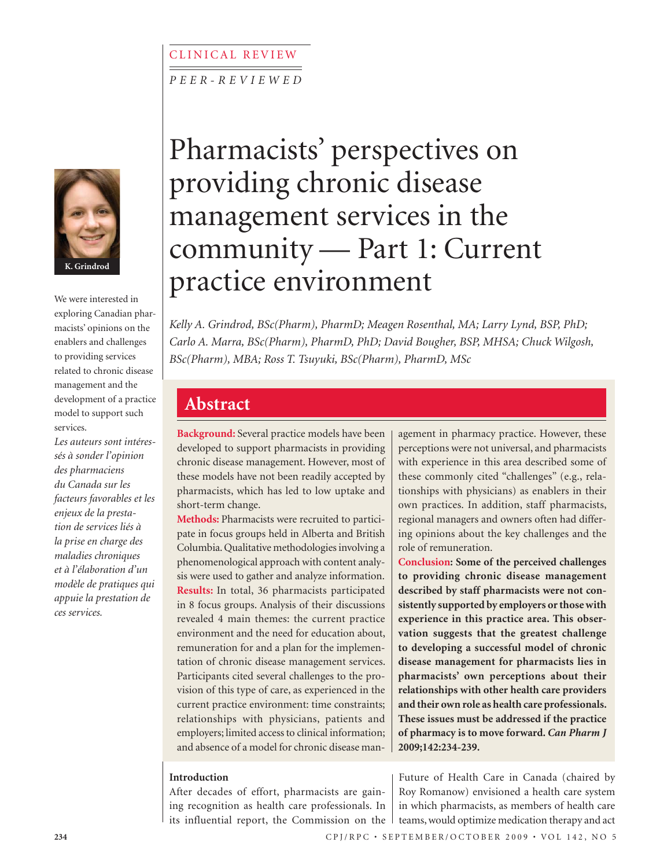## CLINICAL REVIEW *PEER-REVIEWED*



We were interested in exploring Canadian pharmacists' opinions on the enablers and challenges to providing services related to chronic disease management and the development of a practice model to support such services.

*Les auteurs sont intéressés à sonder l'opinion des pharmaciens du Canada sur les facteurs favorables et les enjeux de la prestation de services liés à la prise en charge des maladies chroniques et à l'élaboration d'un modèle de pratiques qui appuie la prestation de ces services.*

# Pharmacists' perspectives on providing chronic disease management services in the community — Part 1: Current practice environment

*Kelly A. Grindrod, BSc(Pharm), PharmD; Meagen Rosenthal, MA; Larry Lynd, BSP, PhD; Carlo A. Marra, BSc(Pharm), PharmD, PhD; David Bougher, BSP, MHSA; Chuck Wilgosh, BSc(Pharm), MBA; Ross T. Tsuyuki, BSc(Pharm), PharmD, MSc*

# **Abstract**

**Background:** Several practice models have been developed to support pharmacists in providing chronic disease management. However, most of these models have not been readily accepted by pharmacists, which has led to low uptake and short-term change.

**Methods:** Pharmacists were recruited to participate in focus groups held in Alberta and British Columbia. Qualitative methodologies involving a phenomenological approach with content analysis were used to gather and analyze information. **Results:** In total, 36 pharmacists participated in 8 focus groups. Analysis of their discussions revealed 4 main themes: the current practice environment and the need for education about, remuneration for and a plan for the implementation of chronic disease management services. Participants cited several challenges to the provision of this type of care, as experienced in the current practice environment: time constraints; relationships with physicians, patients and employers; limited access to clinical information; and absence of a model for chronic disease management in pharmacy practice. However, these perceptions were not universal, and pharmacists with experience in this area described some of these commonly cited "challenges" (e.g., relationships with physicians) as enablers in their own practices. In addition, staff pharmacists, regional managers and owners often had differing opinions about the key challenges and the role of remuneration.

**Conclusion: Some of the perceived challenges to providing chronic disease management described by staff pharmacists were not consistently supported by employers or those with experience in this practice area. This observation suggests that the greatest challenge to developing a successful model of chronic disease management for pharmacists lies in pharmacists' own perceptions about their relationships with other health care providers and their own role as health care professionals. These issues must be addressed if the practice of pharmacy is to move forward.** *Can Pharm J* **2009;142:234-239.**

**Introduction**

After decades of effort, pharmacists are gaining recognition as health care professionals. In its influential report, the Commission on the Future of Health Care in Canada (chaired by Roy Romanow) envisioned a health care system in which pharmacists, as members of health care teams, would optimize medication therapy and act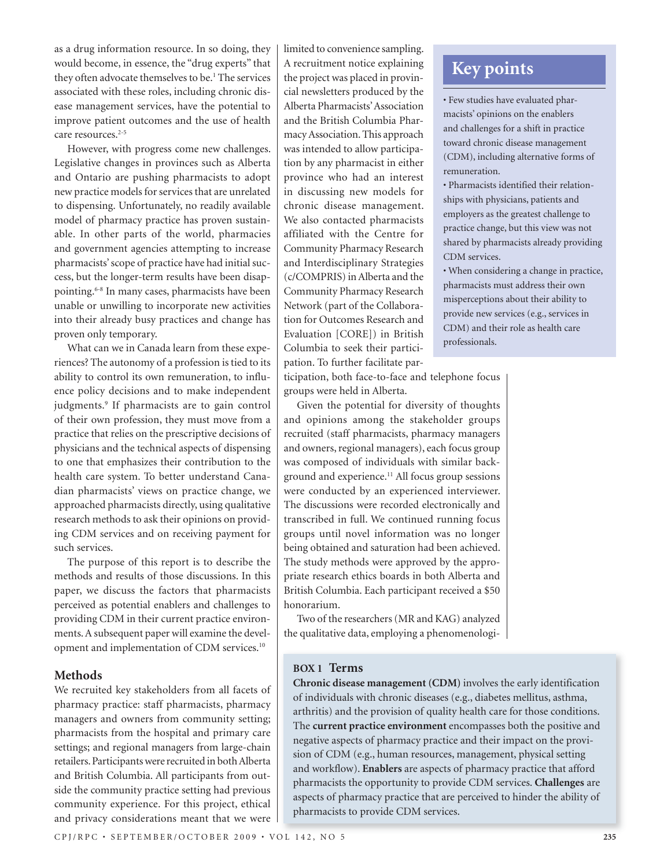as a drug information resource. In so doing, they would become, in essence, the "drug experts" that they often advocate themselves to be.<sup>1</sup> The services associated with these roles, including chronic disease management services, have the potential to improve patient outcomes and the use of health care resources.<sup>2-5</sup>

However, with progress come new challenges. Legislative changes in provinces such as Alberta and Ontario are pushing pharmacists to adopt new practice models for services that are unrelated to dispensing. Unfortunately, no readily available model of pharmacy practice has proven sustainable. In other parts of the world, pharmacies and government agencies attempting to increase pharmacists' scope of practice have had initial success, but the longer-term results have been disappointing.6-8 In many cases, pharmacists have been unable or unwilling to incorporate new activities into their already busy practices and change has proven only temporary.

What can we in Canada learn from these experiences? The autonomy of a profession is tied to its ability to control its own remuneration, to influence policy decisions and to make independent judgments.<sup>9</sup> If pharmacists are to gain control of their own profession, they must move from a practice that relies on the prescriptive decisions of physicians and the technical aspects of dispensing to one that emphasizes their contribution to the health care system. To better understand Canadian pharmacists' views on practice change, we approached pharmacists directly, using qualitative research methods to ask their opinions on providing CDM services and on receiving payment for such services.

The purpose of this report is to describe the methods and results of those discussions. In this paper, we discuss the factors that pharmacists perceived as potential enablers and challenges to providing CDM in their current practice environments. A subsequent paper will examine the development and implementation of CDM services.10

## **Methods**

We recruited key stakeholders from all facets of pharmacy practice: staff pharmacists, pharmacy managers and owners from community setting; pharmacists from the hospital and primary care settings; and regional managers from large-chain retailers. Participants were recruited in both Alberta and British Columbia. All participants from outside the community practice setting had previous community experience. For this project, ethical and privacy considerations meant that we were limited to convenience sampling. A recruitment notice explaining the project was placed in provincial newsletters produced by the Alberta Pharmacists' Association and the British Columbia Pharmacy Association. This approach was intended to allow participation by any pharmacist in either province who had an interest in discussing new models for chronic disease management. We also contacted pharmacists affiliated with the Centre for Community Pharmacy Research and Interdisciplinary Strategies (c/COMPRIS) in Alberta and the Community Pharmacy Research Network (part of the Collaboration for Outcomes Research and Evaluation [CORE]) in British Columbia to seek their participation. To further facilitate par-

ticipation, both face-to-face and telephone focus groups were held in Alberta.

Given the potential for diversity of thoughts and opinions among the stakeholder groups recruited (staff pharmacists, pharmacy managers and owners, regional managers), each focus group was composed of individuals with similar background and experience.11 All focus group sessions were conducted by an experienced interviewer. The discussions were recorded electronically and transcribed in full. We continued running focus groups until novel information was no longer being obtained and saturation had been achieved. The study methods were approved by the appropriate research ethics boards in both Alberta and British Columbia. Each participant received a \$50 honorarium.

Two of the researchers (MR and KAG) analyzed the qualitative data, employing a phenomenologi-

## **BOX 1 Terms**

**Chronic disease management (CDM)** involves the early identification of individuals with chronic diseases (e.g., diabetes mellitus, asthma, arthritis) and the provision of quality health care for those conditions. The **current practice environment** encompasses both the positive and negative aspects of pharmacy practice and their impact on the provision of CDM (e.g., human resources, management, physical setting and workflow). **Enablers** are aspects of pharmacy practice that afford pharmacists the opportunity to provide CDM services. **Challenges** are aspects of pharmacy practice that are perceived to hinder the ability of pharmacists to provide CDM services.

# **Key points**

• Few studies have evaluated pharmacists' opinions on the enablers and challenges for a shift in practice toward chronic disease management (CDM), including alternative forms of remuneration.

• Pharmacists identified their relationships with physicians, patients and employers as the greatest challenge to practice change, but this view was not shared by pharmacists already providing CDM services.

• When considering a change in practice, pharmacists must address their own misperceptions about their ability to provide new services (e.g., services in CDM) and their role as health care professionals.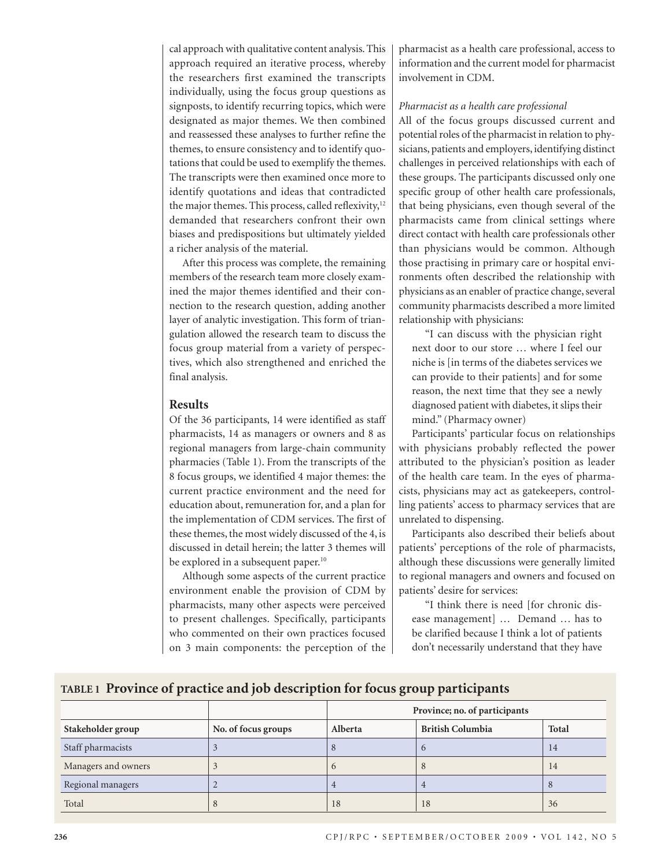cal approach with qualitative content analysis. This approach required an iterative process, whereby the researchers first examined the transcripts individually, using the focus group questions as signposts, to identify recurring topics, which were designated as major themes. We then combined and reassessed these analyses to further refine the themes, to ensure consistency and to identify quotations that could be used to exemplify the themes. The transcripts were then examined once more to identify quotations and ideas that contradicted the major themes. This process, called reflexivity,<sup>12</sup> demanded that researchers confront their own biases and predispositions but ultimately yielded a richer analysis of the material.

After this process was complete, the remaining members of the research team more closely examined the major themes identified and their connection to the research question, adding another layer of analytic investigation. This form of triangulation allowed the research team to discuss the focus group material from a variety of perspectives, which also strengthened and enriched the final analysis.

## **Results**

Of the 36 participants, 14 were identified as staff pharmacists, 14 as managers or owners and 8 as regional managers from large-chain community pharmacies (Table 1). From the transcripts of the 8 focus groups, we identified 4 major themes: the current practice environment and the need for education about, remuneration for, and a plan for the implementation of CDM services. The first of these themes, the most widely discussed of the 4, is discussed in detail herein; the latter 3 themes will be explored in a subsequent paper.<sup>10</sup>

Although some aspects of the current practice environment enable the provision of CDM by pharmacists, many other aspects were perceived to present challenges. Specifically, participants who commented on their own practices focused on 3 main components: the perception of the pharmacist as a health care professional, access to information and the current model for pharmacist involvement in CDM.

### *Pharmacist as a health care professional*

All of the focus groups discussed current and potential roles of the pharmacist in relation to physicians, patients and employers, identifying distinct challenges in perceived relationships with each of these groups. The participants discussed only one specific group of other health care professionals, that being physicians, even though several of the pharmacists came from clinical settings where direct contact with health care professionals other than physicians would be common. Although those practising in primary care or hospital environments often described the relationship with physicians as an enabler of practice change, several community pharmacists described a more limited relationship with physicians:

"I can discuss with the physician right next door to our store … where I feel our niche is [in terms of the diabetes services we can provide to their patients] and for some reason, the next time that they see a newly diagnosed patient with diabetes, it slips their mind." (Pharmacy owner)

Participants' particular focus on relationships with physicians probably reflected the power attributed to the physician's position as leader of the health care team. In the eyes of pharmacists, physicians may act as gatekeepers, controlling patients' access to pharmacy services that are unrelated to dispensing.

Participants also described their beliefs about patients' perceptions of the role of pharmacists, although these discussions were generally limited to regional managers and owners and focused on patients' desire for services:

"I think there is need [for chronic disease management] … Demand … has to be clarified because I think a lot of patients don't necessarily understand that they have

## **TABLE 1 Province of practice and job description for focus group participants**

|                     |                     | Province; no. of participants |                         |       |
|---------------------|---------------------|-------------------------------|-------------------------|-------|
| Stakeholder group   | No. of focus groups | Alberta                       | <b>British Columbia</b> | Total |
| Staff pharmacists   |                     |                               |                         | 14    |
| Managers and owners |                     |                               |                         | 14    |
| Regional managers   |                     |                               | 4                       |       |
| Total               |                     | 18                            | 18                      | 36    |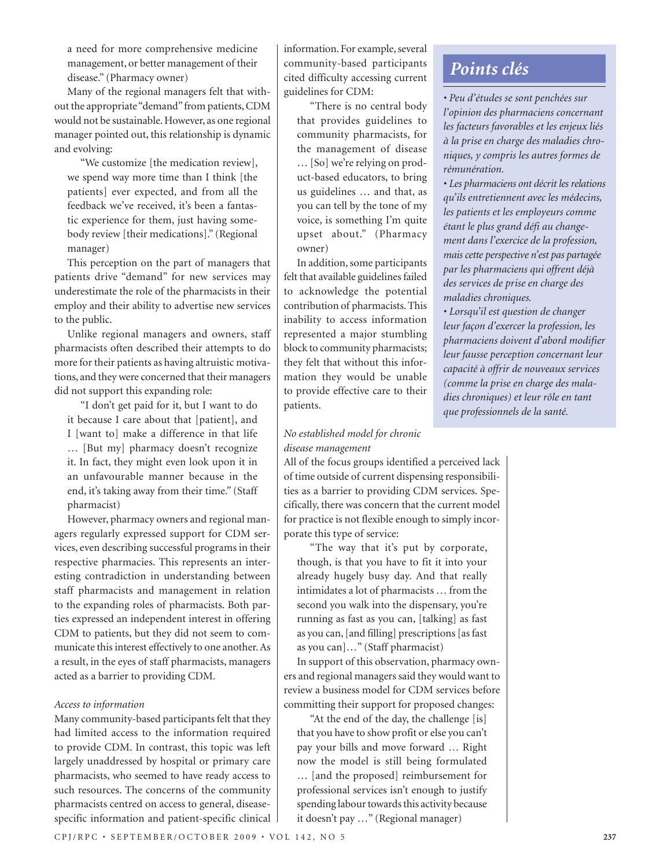a need for more comprehensive medicine management, or better management of their disease." (Pharmacy owner)

Many of the regional managers felt that without the appropriate "demand" from patients, CDM would not be sustainable. However, as one regional manager pointed out, this relationship is dynamic and evolving:

"We customize [the medication review], we spend way more time than I think [the patients] ever expected, and from all the feedback we've received, it's been a fantastic experience for them, just having somebody review [their medications]." (Regional manager)

This perception on the part of managers that patients drive "demand" for new services may underestimate the role of the pharmacists in their employ and their ability to advertise new services to the public.

Unlike regional managers and owners, staff pharmacists often described their attempts to do more for their patients as having altruistic motivations, and they were concerned that their managers did not support this expanding role:

"I don't get paid for it, but I want to do it because I care about that [patient], and I [want to] make a difference in that life … [But my] pharmacy doesn't recognize it. In fact, they might even look upon it in an unfavourable manner because in the end, it's taking away from their time." (Staff pharmacist)

However, pharmacy owners and regional managers regularly expressed support for CDM services, even describing successful programs in their respective pharmacies. This represents an interesting contradiction in understanding between staff pharmacists and management in relation to the expanding roles of pharmacists. Both parties expressed an independent interest in offering CDM to patients, but they did not seem to communicate this interest effectively to one another. As a result, in the eyes of staff pharmacists, managers acted as a barrier to providing CDM.

## *Access to information*

Many community-based participants felt that they had limited access to the information required to provide CDM. In contrast, this topic was left largely unaddressed by hospital or primary care pharmacists, who seemed to have ready access to such resources. The concerns of the community pharmacists centred on access to general, diseasespecific information and patient-specific clinical information. For example, several community-based participants cited difficulty accessing current guidelines for CDM:

"There is no central body that provides guidelines to community pharmacists, for the management of disease … [So] we're relying on product-based educators, to bring us guidelines … and that, as you can tell by the tone of my voice, is something I'm quite upset about." (Pharmacy owner)

In addition, some participants felt that available guidelines failed to acknowledge the potential contribution of pharmacists. This inability to access information represented a major stumbling block to community pharmacists; they felt that without this information they would be unable to provide effective care to their patients.

## *No established model for chronic disease management*

All of the focus groups identified a perceived lack of time outside of current dispensing responsibilities as a barrier to providing CDM services. Specifically, there was concern that the current model for practice is not flexible enough to simply incorporate this type of service:

"The way that it's put by corporate, though, is that you have to fit it into your already hugely busy day. And that really intimidates a lot of pharmacists … from the second you walk into the dispensary, you're running as fast as you can, [talking] as fast as you can, [and filling] prescriptions [as fast as you can]…" (Staff pharmacist)

In support of this observation, pharmacy owners and regional managers said they would want to review a business model for CDM services before committing their support for proposed changes:

"At the end of the day, the challenge [is] that you have to show profit or else you can't pay your bills and move forward … Right now the model is still being formulated … [and the proposed] reimbursement for professional services isn't enough to justify spending labour towards this activity because it doesn't pay …" (Regional manager)

# *Points clés*

*• Peu d'études se sont penchées sur l'opinion des pharmaciens concernant les facteurs favorables et les enjeux liés à la prise en charge des maladies chroniques, y compris les autres formes de rémunération.*

*• Les pharmaciens ont décrit les relations qu'ils entretiennent avec les médecins, les patients et les employeurs comme étant le plus grand défi au changement dans l'exercice de la profession, mais cette perspective n'est pas partagée par les pharmaciens qui offrent déjà des services de prise en charge des maladies chroniques.* 

*• Lorsqu'il est question de changer leur façon d'exercer la profession, les pharmaciens doivent d'abord modifier leur fausse perception concernant leur capacité à offrir de nouveaux services (comme la prise en charge des maladies chroniques) et leur rôle en tant que professionnels de la santé.*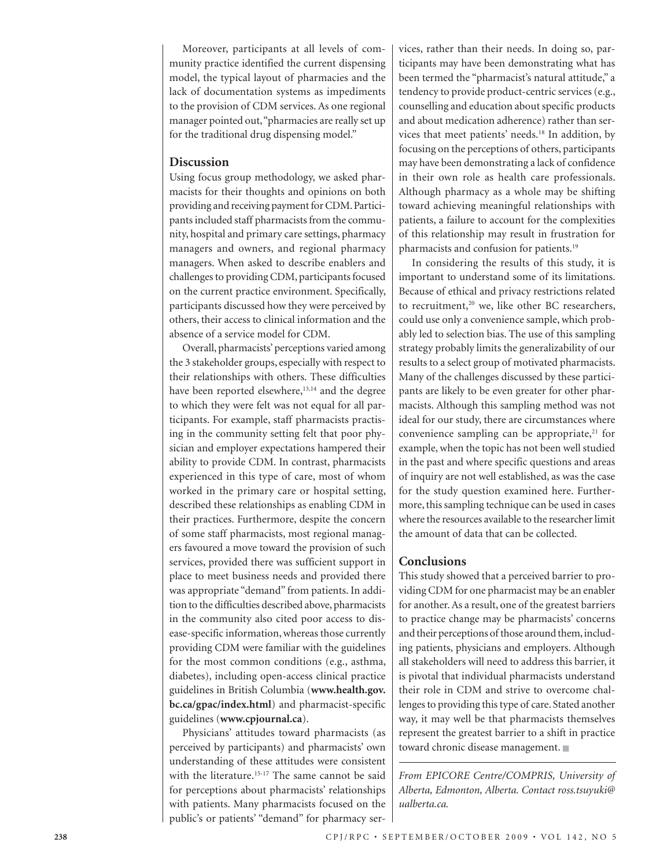Moreover, participants at all levels of community practice identified the current dispensing model, the typical layout of pharmacies and the lack of documentation systems as impediments to the provision of CDM services. As one regional manager pointed out, "pharmacies are really set up for the traditional drug dispensing model."

## **Discussion**

Using focus group methodology, we asked pharmacists for their thoughts and opinions on both providing and receiving payment for CDM. Participants included staff pharmacists from the community, hospital and primary care settings, pharmacy managers and owners, and regional pharmacy managers. When asked to describe enablers and challenges to providing CDM, participants focused on the current practice environment. Specifically, participants discussed how they were perceived by others, their access to clinical information and the absence of a service model for CDM.

Overall, pharmacists' perceptions varied among the 3 stakeholder groups, especially with respect to their relationships with others. These difficulties have been reported elsewhere,<sup>13,14</sup> and the degree to which they were felt was not equal for all participants. For example, staff pharmacists practising in the community setting felt that poor physician and employer expectations hampered their ability to provide CDM. In contrast, pharmacists experienced in this type of care, most of whom worked in the primary care or hospital setting, described these relationships as enabling CDM in their practices. Furthermore, despite the concern of some staff pharmacists, most regional managers favoured a move toward the provision of such services, provided there was sufficient support in place to meet business needs and provided there was appropriate "demand" from patients. In addition to the difficulties described above, pharmacists in the community also cited poor access to disease-specific information, whereas those currently providing CDM were familiar with the guidelines for the most common conditions (e.g., asthma, diabetes), including open-access clinical practice guidelines in British Columbia (**www.health.gov. bc.ca/gpac/index.html**) and pharmacist-specific guidelines (**www.cpjournal.ca**).

Physicians' attitudes toward pharmacists (as perceived by participants) and pharmacists' own understanding of these attitudes were consistent with the literature.<sup>15-17</sup> The same cannot be said for perceptions about pharmacists' relationships with patients. Many pharmacists focused on the public's or patients' "demand" for pharmacy services, rather than their needs. In doing so, participants may have been demonstrating what has been termed the "pharmacist's natural attitude," a tendency to provide product-centric services (e.g., counselling and education about specific products and about medication adherence) rather than services that meet patients' needs.18 In addition, by focusing on the perceptions of others, participants may have been demonstrating a lack of confidence in their own role as health care professionals. Although pharmacy as a whole may be shifting toward achieving meaningful relationships with patients, a failure to account for the complexities of this relationship may result in frustration for pharmacists and confusion for patients.19

In considering the results of this study, it is important to understand some of its limitations. Because of ethical and privacy restrictions related to recruitment,<sup>20</sup> we, like other BC researchers, could use only a convenience sample, which probably led to selection bias. The use of this sampling strategy probably limits the generalizability of our results to a select group of motivated pharmacists. Many of the challenges discussed by these participants are likely to be even greater for other pharmacists. Although this sampling method was not ideal for our study, there are circumstances where convenience sampling can be appropriate, $21$  for example, when the topic has not been well studied in the past and where specific questions and areas of inquiry are not well established, as was the case for the study question examined here. Furthermore, this sampling technique can be used in cases where the resources available to the researcher limit the amount of data that can be collected.

## **Conclusions**

This study showed that a perceived barrier to providing CDM for one pharmacist may be an enabler for another. As a result, one of the greatest barriers to practice change may be pharmacists' concerns and their perceptions of those around them, including patients, physicians and employers. Although all stakeholders will need to address this barrier, it is pivotal that individual pharmacists understand their role in CDM and strive to overcome challenges to providing this type of care. Stated another way, it may well be that pharmacists themselves represent the greatest barrier to a shift in practice toward chronic disease management.

*From EPICORE Centre/COMPRIS, University of Alberta, Edmonton, Alberta. Contact ross.tsuyuki@ ualberta.ca.*